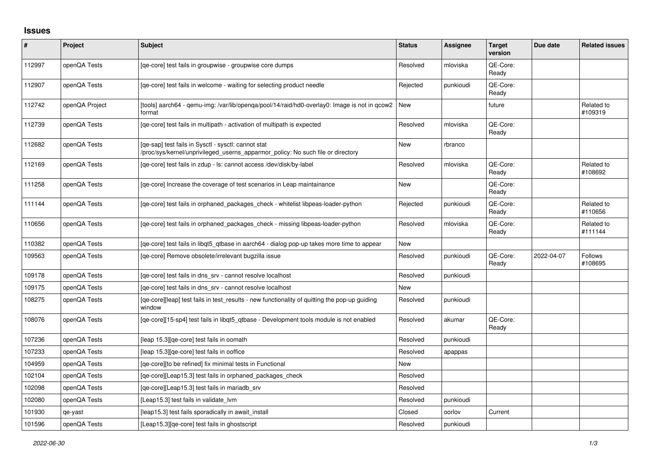## **Issues**

| #      | Project        | Subject                                                                                                                                | <b>Status</b> | <b>Assignee</b> | <b>Target</b><br>version | Due date   | <b>Related issues</b>     |
|--------|----------------|----------------------------------------------------------------------------------------------------------------------------------------|---------------|-----------------|--------------------------|------------|---------------------------|
| 112997 | openQA Tests   | [qe-core] test fails in groupwise - groupwise core dumps                                                                               | Resolved      | mloviska        | OE-Core:<br>Ready        |            |                           |
| 112907 | openQA Tests   | [ge-core] test fails in welcome - waiting for selecting product needle                                                                 | Rejected      | punkioudi       | QE-Core:<br>Ready        |            |                           |
| 112742 | openQA Project | [tools] aarch64 - qemu-img: /var/lib/openqa/pool/14/raid/hd0-overlay0: Image is not in qcow2<br>format                                 | New           |                 | future                   |            | Related to<br>#109319     |
| 112739 | openQA Tests   | [ge-core] test fails in multipath - activation of multipath is expected                                                                | Resolved      | mloviska        | QE-Core:<br>Ready        |            |                           |
| 112682 | openQA Tests   | [qe-sap] test fails in Sysctl - sysctl: cannot stat<br>/proc/sys/kernel/unprivileged_userns_apparmor_policy: No such file or directory | <b>New</b>    | rbranco         |                          |            |                           |
| 112169 | openQA Tests   | [ge-core] test fails in zdup - ls: cannot access /dev/disk/by-label                                                                    | Resolved      | mloviska        | QE-Core:<br>Ready        |            | Related to<br>#108692     |
| 111258 | openQA Tests   | [ge-core] Increase the coverage of test scenarios in Leap maintainance                                                                 | New           |                 | QE-Core:<br>Ready        |            |                           |
| 111144 | openQA Tests   | [qe-core] test fails in orphaned_packages_check - whitelist libpeas-loader-python                                                      | Rejected      | punkioudi       | QE-Core:<br>Ready        |            | Related to<br>#110656     |
| 110656 | openQA Tests   | [ge-core] test fails in orphaned packages check - missing libpeas-loader-python                                                        | Resolved      | mloviska        | QE-Core:<br>Ready        |            | Related to<br>#111144     |
| 110382 | openQA Tests   | [qe-core] test fails in libqt5_qtbase in aarch64 - dialog pop-up takes more time to appear                                             | <b>New</b>    |                 |                          |            |                           |
| 109563 | openQA Tests   | [ge-core] Remove obsolete/irrelevant bugzilla issue                                                                                    | Resolved      | punkioudi       | QE-Core:<br>Ready        | 2022-04-07 | <b>Follows</b><br>#108695 |
| 109178 | openQA Tests   | [qe-core] test fails in dns_srv - cannot resolve localhost                                                                             | Resolved      | punkioudi       |                          |            |                           |
| 109175 | openQA Tests   | [ge-core] test fails in dns srv - cannot resolve localhost                                                                             | New           |                 |                          |            |                           |
| 108275 | openQA Tests   | [qe-core][leap] test fails in test_results - new functionality of quitting the pop-up guiding<br>window                                | Resolved      | punkioudi       |                          |            |                           |
| 108076 | openQA Tests   | [ge-core][15-sp4] test fails in libgt5 gtbase - Development tools module is not enabled                                                | Resolved      | akumar          | QE-Core:<br>Ready        |            |                           |
| 107236 | openQA Tests   | [leap 15.3][qe-core] test fails in oomath                                                                                              | Resolved      | punkioudi       |                          |            |                           |
| 107233 | openQA Tests   | [leap 15.3][qe-core] test fails in ooffice                                                                                             | Resolved      | apappas         |                          |            |                           |
| 104959 | openQA Tests   | [qe-core][to be refined] fix minimal tests in Functional                                                                               | <b>New</b>    |                 |                          |            |                           |
| 102104 | openQA Tests   | [ge-core][Leap15.3] test fails in orphaned packages check                                                                              | Resolved      |                 |                          |            |                           |
| 102098 | openQA Tests   | [qe-core][Leap15.3] test fails in mariadb_srv                                                                                          | Resolved      |                 |                          |            |                           |
| 102080 | openQA Tests   | [Leap15.3] test fails in validate lvm                                                                                                  | Resolved      | punkioudi       |                          |            |                           |
| 101930 | qe-yast        | [leap15.3] test fails sporadically in await_install                                                                                    | Closed        | oorlov          | Current                  |            |                           |
| 101596 | openQA Tests   | [Leap15.3][qe-core] test fails in ghostscript                                                                                          | Resolved      | punkioudi       |                          |            |                           |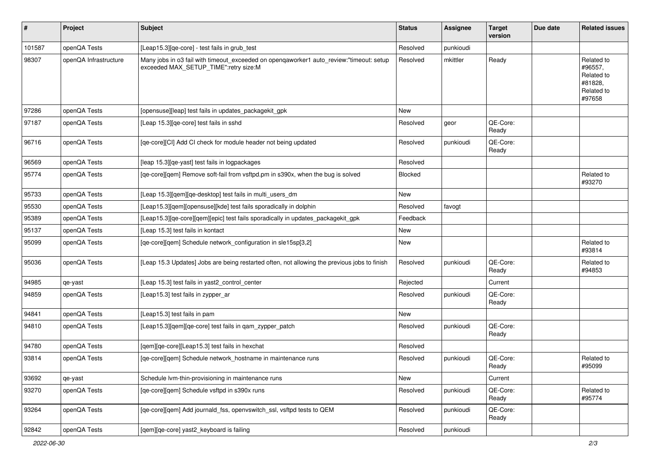| $\vert$ # | Project               | <b>Subject</b>                                                                                                                   | <b>Status</b> | <b>Assignee</b> | <b>Target</b><br>version | Due date | <b>Related issues</b>                                                  |
|-----------|-----------------------|----------------------------------------------------------------------------------------------------------------------------------|---------------|-----------------|--------------------------|----------|------------------------------------------------------------------------|
| 101587    | openQA Tests          | [Leap15.3][qe-core] - test fails in grub_test                                                                                    | Resolved      | punkioudi       |                          |          |                                                                        |
| 98307     | openQA Infrastructure | Many jobs in 03 fail with timeout_exceeded on openqaworker1 auto_review:"timeout: setup<br>exceeded MAX_SETUP_TIME":retry size:M | Resolved      | mkittler        | Ready                    |          | Related to<br>#96557,<br>Related to<br>#81828,<br>Related to<br>#97658 |
| 97286     | openQA Tests          | [opensuse][leap] test fails in updates_packagekit_gpk                                                                            | New           |                 |                          |          |                                                                        |
| 97187     | openQA Tests          | [Leap 15.3][qe-core] test fails in sshd                                                                                          | Resolved      | geor            | QE-Core:<br>Ready        |          |                                                                        |
| 96716     | openQA Tests          | [qe-core][Cl] Add Cl check for module header not being updated                                                                   | Resolved      | punkioudi       | QE-Core:<br>Ready        |          |                                                                        |
| 96569     | openQA Tests          | [leap 15.3][qe-yast] test fails in logpackages                                                                                   | Resolved      |                 |                          |          |                                                                        |
| 95774     | openQA Tests          | [qe-core][qem] Remove soft-fail from vsftpd.pm in s390x, when the bug is solved                                                  | Blocked       |                 |                          |          | Related to<br>#93270                                                   |
| 95733     | openQA Tests          | [Leap 15.3][gem][ge-desktop] test fails in multi users dm                                                                        | New           |                 |                          |          |                                                                        |
| 95530     | openQA Tests          | [Leap15.3][qem][opensuse][kde] test fails sporadically in dolphin                                                                | Resolved      | favogt          |                          |          |                                                                        |
| 95389     | openQA Tests          | [Leap15.3][qe-core][qem][epic] test fails sporadically in updates_packagekit_gpk                                                 | Feedback      |                 |                          |          |                                                                        |
| 95137     | openQA Tests          | [Leap 15.3] test fails in kontact                                                                                                | New           |                 |                          |          |                                                                        |
| 95099     | openQA Tests          | [qe-core][qem] Schedule network_configuration in sle15sp[3,2]                                                                    | New           |                 |                          |          | Related to<br>#93814                                                   |
| 95036     | openQA Tests          | [Leap 15.3 Updates] Jobs are being restarted often, not allowing the previous jobs to finish                                     | Resolved      | punkioudi       | QE-Core:<br>Ready        |          | Related to<br>#94853                                                   |
| 94985     | qe-yast               | [Leap 15.3] test fails in yast2_control_center                                                                                   | Rejected      |                 | Current                  |          |                                                                        |
| 94859     | openQA Tests          | [Leap15.3] test fails in zypper_ar                                                                                               | Resolved      | punkioudi       | QE-Core:<br>Ready        |          |                                                                        |
| 94841     | openQA Tests          | [Leap15.3] test fails in pam                                                                                                     | New           |                 |                          |          |                                                                        |
| 94810     | openQA Tests          | [Leap15.3][qem][qe-core] test fails in qam_zypper_patch                                                                          | Resolved      | punkioudi       | QE-Core:<br>Ready        |          |                                                                        |
| 94780     | openQA Tests          | [qem][qe-core][Leap15.3] test fails in hexchat                                                                                   | Resolved      |                 |                          |          |                                                                        |
| 93814     | openQA Tests          | [qe-core][qem] Schedule network_hostname in maintenance runs                                                                     | Resolved      | punkioudi       | QE-Core:<br>Ready        |          | Related to<br>#95099                                                   |
| 93692     | qe-yast               | Schedule Ivm-thin-provisioning in maintenance runs                                                                               | New           |                 | Current                  |          |                                                                        |
| 93270     | openQA Tests          | [ge-core][gem] Schedule vsftpd in s390x runs                                                                                     | Resolved      | punkioudi       | QE-Core:<br>Ready        |          | Related to<br>#95774                                                   |
| 93264     | openQA Tests          | [qe-core][qem] Add journald_fss, openvswitch_ssl, vsftpd tests to QEM                                                            | Resolved      | punkioudi       | QE-Core:<br>Ready        |          |                                                                        |
| 92842     | openQA Tests          | [qem][qe-core] yast2_keyboard is failing                                                                                         | Resolved      | punkioudi       |                          |          |                                                                        |